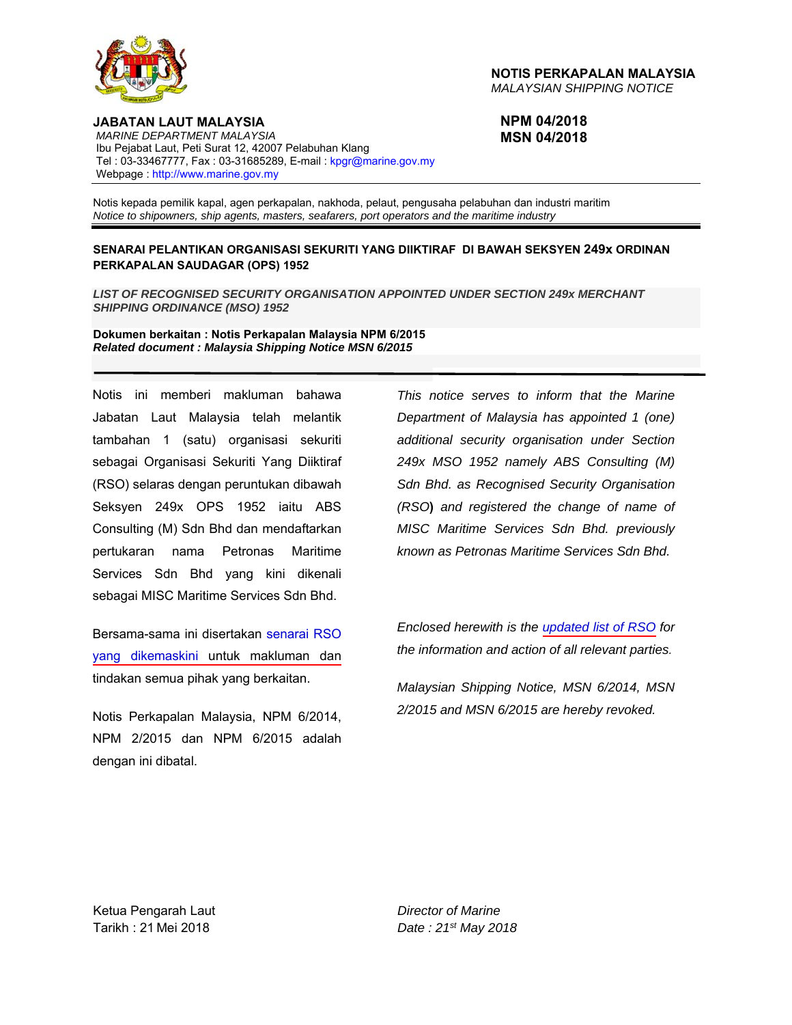

**NOTIS PERKAPALAN MALAYSIA**  *MALAYSIAN SHIPPING NOTICE* 

**NPM 04/2018 MSN 04/2018** 

**JABATAN LAUT MALAYSIA**   *MARINE DEPARTMENT MALAYSIA*  Ibu Pejabat Laut, Peti Surat 12, 42007 Pelabuhan Klang Tel: 03-33467777, Fax: 03-31685289, E-mail: kpgr@marine.gov.my Webpage : http://www.marine.gov.my

Notis kepada pemilik kapal, agen perkapalan, nakhoda, pelaut, pengusaha pelabuhan dan industri maritim *Notice to shipowners, ship agents, masters, seafarers, port operators and the maritime industry* 

#### **SENARAI PELANTIKAN ORGANISASI SEKURITI YANG DIIKTIRAF DI BAWAH SEKSYEN 249x ORDINAN PERKAPALAN SAUDAGAR (OPS) 1952**

*LIST OF RECOGNISED SECURITY ORGANISATION APPOINTED UNDER SECTION 249x MERCHANT SHIPPING ORDINANCE (MSO) 1952* 

**Dokumen berkaitan : Notis Perkapalan Malaysia NPM 6/2015**  *Related document : Malaysia Shipping Notice MSN 6/2015* 

Notis ini memberi makluman bahawa Jabatan Laut Malaysia telah melantik tambahan 1 (satu) organisasi sekuriti sebagai Organisasi Sekuriti Yang Diiktiraf (RSO) selaras dengan peruntukan dibawah Seksyen 249x OPS 1952 iaitu ABS Consulting (M) Sdn Bhd dan mendaftarkan pertukaran nama Petronas Maritime Services Sdn Bhd yang kini dikenali sebagai MISC Maritime Services Sdn Bhd.

Bersama-sama ini disertakan senarai RSO yang dikemaskini untuk makluman dan tindakan semua pihak yang berkaitan.

Ketua Pengarah Laut/Director General of Ma Notis Perkapalan Malaysia, NPM 6/2014, NPM 2/2015 dan NPM 6/2015 adalah dengan ini dibatal.

*This notice serves to inform that the Marine Department of Malaysia has appointed 1 (one) additional security organisation under Section 249x MSO 1952 namely ABS Consulting (M) Sdn Bhd. as Recognised Security Organisation (RSO***)** *and registered the change of name of MISC Maritime Services Sdn Bhd. previously known as Petronas Maritime Services Sdn Bhd.* 

*Enclosed herewith is the updated list of RSO for the information and action of all relevant parties.* 

*Malaysian Shipping Notice, MSN 6/2014, MSN 2/2015 and MSN 6/2015 are hereby revoked.* 

Ketua Pengarah Laut *Director of Marine* Tarikh : 21 Mei 2018 *Date : 21st May 2018*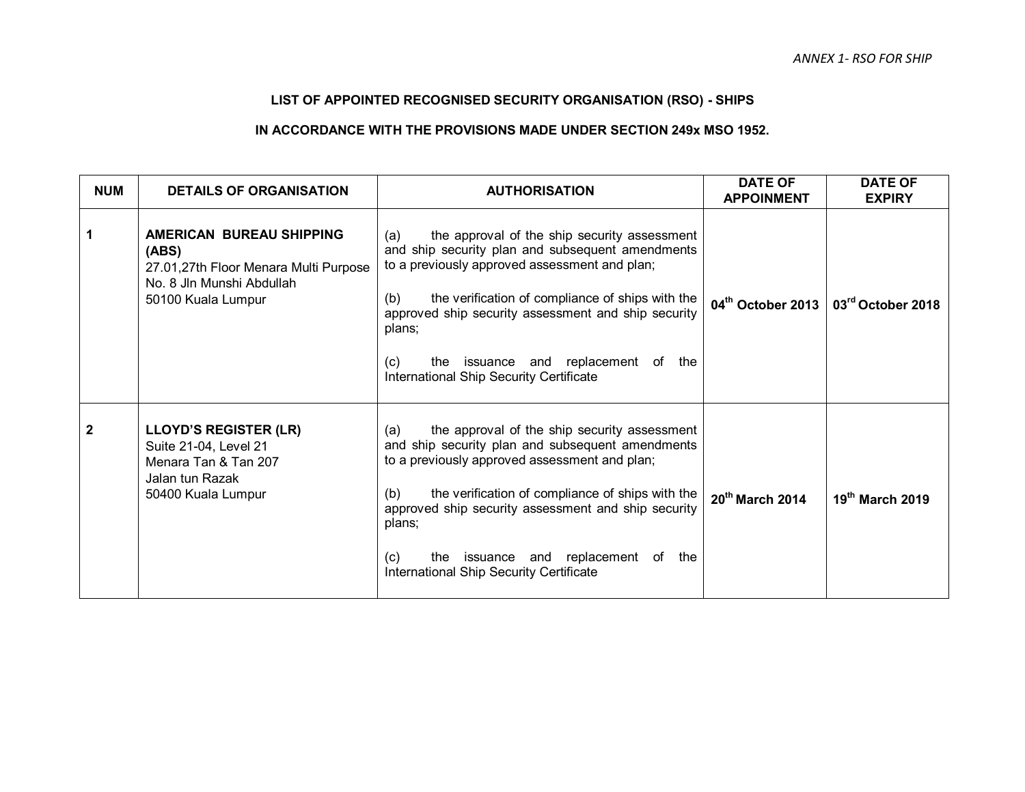# **LIST OF APPOINTED RECOGNISED SECURITY ORGANISATION (RSO) - SHIPS**

## **IN ACCORDANCE WITH THE PROVISIONS MADE UNDER SECTION 249x MSO 1952.**

| <b>NUM</b>  | <b>DETAILS OF ORGANISATION</b>                                                                                                       | <b>AUTHORISATION</b>                                                                                                                                                                                                                                                                                                                                                             | <b>DATE OF</b><br><b>APPOINMENT</b> | <b>DATE OF</b><br><b>EXPIRY</b> |
|-------------|--------------------------------------------------------------------------------------------------------------------------------------|----------------------------------------------------------------------------------------------------------------------------------------------------------------------------------------------------------------------------------------------------------------------------------------------------------------------------------------------------------------------------------|-------------------------------------|---------------------------------|
|             | <b>AMERICAN BUREAU SHIPPING</b><br>(ABS)<br>27.01,27th Floor Menara Multi Purpose<br>No. 8 Jln Munshi Abdullah<br>50100 Kuala Lumpur | the approval of the ship security assessment<br>(a)<br>and ship security plan and subsequent amendments<br>to a previously approved assessment and plan;<br>the verification of compliance of ships with the<br>(b)<br>approved ship security assessment and ship security<br>plans;<br>the issuance and replacement of the<br>(C)<br>International Ship Security Certificate    | 04th October 2013                   | 03rd October 2018               |
| $\mathbf 2$ | <b>LLOYD'S REGISTER (LR)</b><br>Suite 21-04, Level 21<br>Menara Tan & Tan 207<br>Jalan tun Razak<br>50400 Kuala Lumpur               | the approval of the ship security assessment<br>(a)<br>and ship security plan and subsequent amendments<br>to a previously approved assessment and plan;<br>the verification of compliance of ships with the<br>(b)<br>approved ship security assessment and ship security<br>plans;<br>issuance and replacement of the<br>(c)<br>the<br>International Ship Security Certificate | $20th$ March 2014                   | 19th March 2019                 |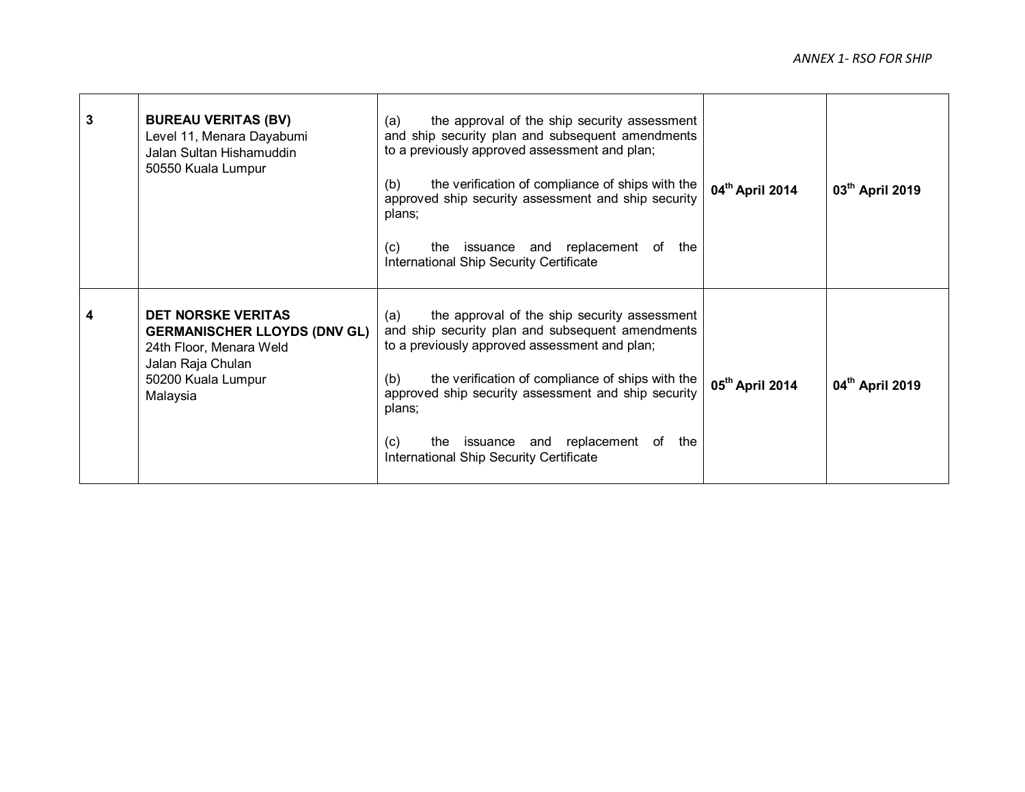| 3 | <b>BUREAU VERITAS (BV)</b><br>Level 11, Menara Dayabumi<br>Jalan Sultan Hishamuddin<br>50550 Kuala Lumpur                                          | the approval of the ship security assessment<br>(a)<br>and ship security plan and subsequent amendments<br>to a previously approved assessment and plan;<br>the verification of compliance of ships with the<br>(b)<br>approved ship security assessment and ship security<br>plans;<br>the issuance and replacement of the<br>(c)<br>International Ship Security Certificate           | 04 <sup>th</sup> April 2014 | 03 <sup>th</sup> April 2019 |
|---|----------------------------------------------------------------------------------------------------------------------------------------------------|-----------------------------------------------------------------------------------------------------------------------------------------------------------------------------------------------------------------------------------------------------------------------------------------------------------------------------------------------------------------------------------------|-----------------------------|-----------------------------|
| 4 | <b>DET NORSKE VERITAS</b><br><b>GERMANISCHER LLOYDS (DNV GL)</b><br>24th Floor, Menara Weld<br>Jalan Raja Chulan<br>50200 Kuala Lumpur<br>Malaysia | the approval of the ship security assessment<br>(a)<br>and ship security plan and subsequent amendments<br>to a previously approved assessment and plan;<br>the verification of compliance of ships with the<br>(b)<br>approved ship security assessment and ship security<br>plans;<br>the issuance and replacement of<br>(C)<br>the<br><b>International Ship Security Certificate</b> | 05 <sup>th</sup> April 2014 | 04 <sup>th</sup> April 2019 |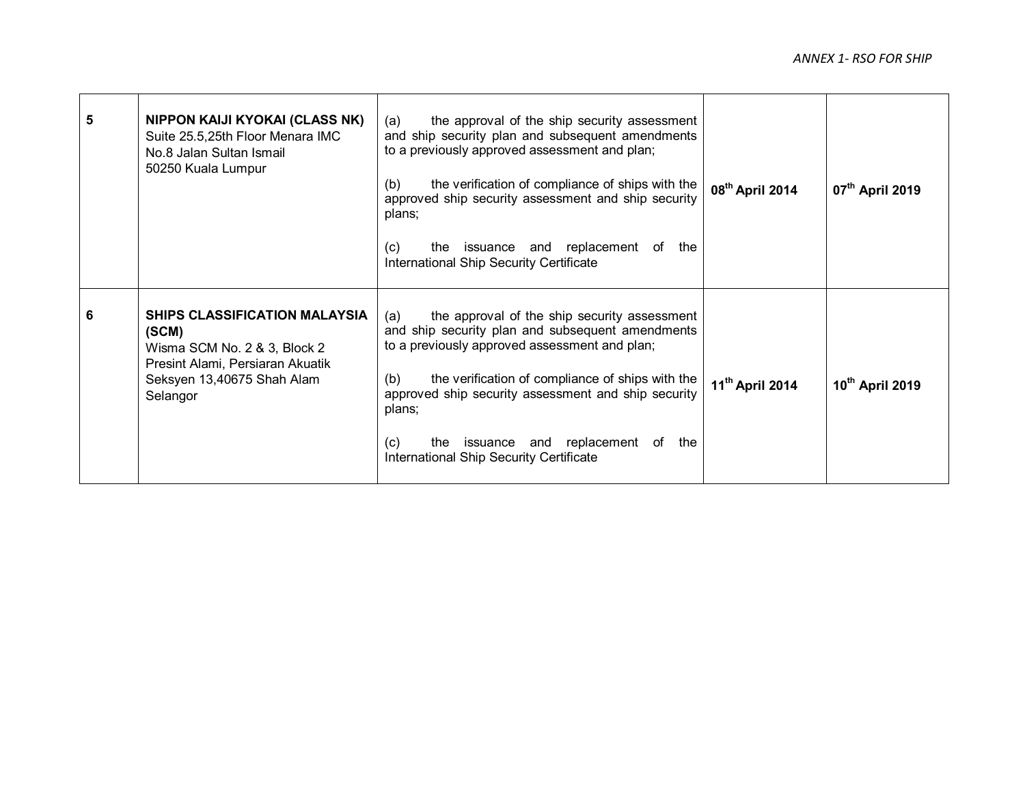| 5 | NIPPON KAIJI KYOKAI (CLASS NK)<br>Suite 25.5,25th Floor Menara IMC<br>No.8 Jalan Sultan Ismail<br>50250 Kuala Lumpur                                 | (a)<br>the approval of the ship security assessment<br>and ship security plan and subsequent amendments<br>to a previously approved assessment and plan;<br>(b)<br>the verification of compliance of ships with the<br>approved ship security assessment and ship security<br>plans;<br>the issuance and replacement of<br>(c)<br>the<br>International Ship Security Certificate | 08 <sup>th</sup> April 2014 | 07 <sup>th</sup> April 2019 |
|---|------------------------------------------------------------------------------------------------------------------------------------------------------|----------------------------------------------------------------------------------------------------------------------------------------------------------------------------------------------------------------------------------------------------------------------------------------------------------------------------------------------------------------------------------|-----------------------------|-----------------------------|
| 6 | SHIPS CLASSIFICATION MALAYSIA<br>(SCM)<br>Wisma SCM No. 2 & 3, Block 2<br>Presint Alami, Persiaran Akuatik<br>Seksyen 13,40675 Shah Alam<br>Selangor | the approval of the ship security assessment<br>(a)<br>and ship security plan and subsequent amendments<br>to a previously approved assessment and plan;<br>the verification of compliance of ships with the<br>(b)<br>approved ship security assessment and ship security<br>plans;<br>the issuance and replacement of<br>(C)<br>the<br>International Ship Security Certificate | 11 <sup>th</sup> April 2014 | 10th April 2019             |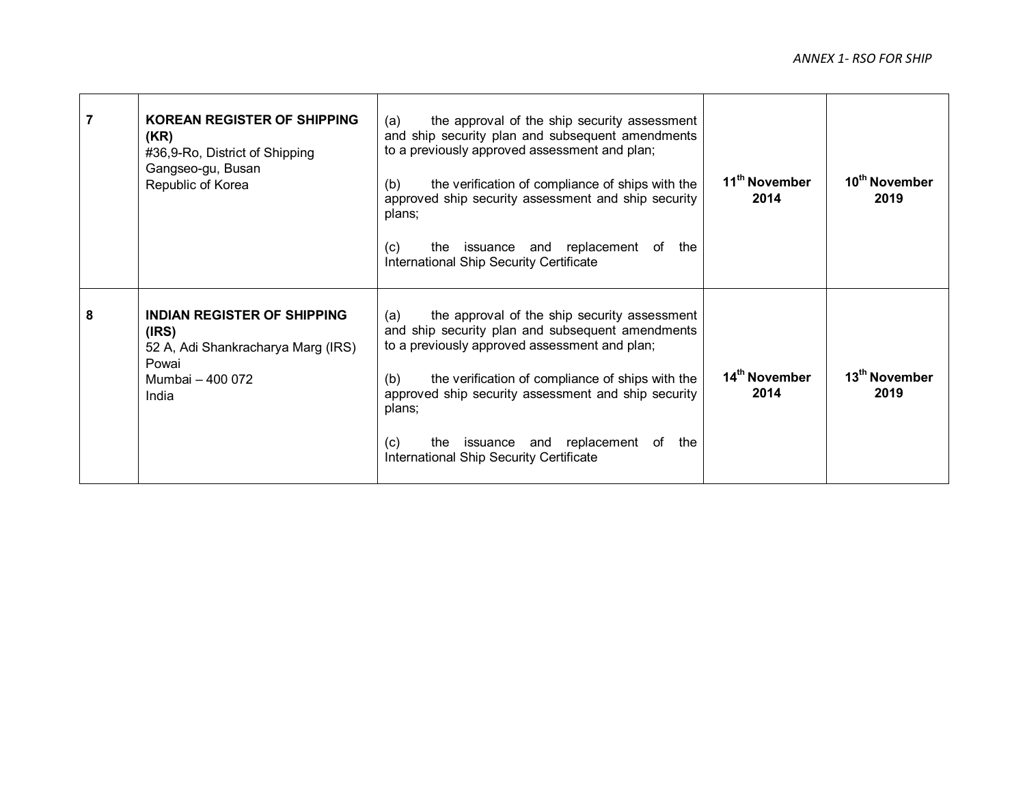|   | <b>KOREAN REGISTER OF SHIPPING</b><br>(KR)<br>#36,9-Ro, District of Shipping<br>Gangseo-gu, Busan<br>Republic of Korea  | (a)<br>the approval of the ship security assessment<br>and ship security plan and subsequent amendments<br>to a previously approved assessment and plan;<br>the verification of compliance of ships with the<br>(b)<br>approved ship security assessment and ship security<br>plans;<br>the issuance and replacement of<br>(c)<br>the<br>International Ship Security Certificate | 11 <sup>th</sup> November<br>2014 | 10 <sup>th</sup> November<br>2019 |
|---|-------------------------------------------------------------------------------------------------------------------------|----------------------------------------------------------------------------------------------------------------------------------------------------------------------------------------------------------------------------------------------------------------------------------------------------------------------------------------------------------------------------------|-----------------------------------|-----------------------------------|
| 8 | <b>INDIAN REGISTER OF SHIPPING</b><br>(IRS)<br>52 A, Adi Shankracharya Marg (IRS)<br>Powai<br>Mumbai - 400 072<br>India | the approval of the ship security assessment<br>(a)<br>and ship security plan and subsequent amendments<br>to a previously approved assessment and plan;<br>the verification of compliance of ships with the<br>(b)<br>approved ship security assessment and ship security<br>plans;<br>the issuance and replacement of<br>(c)<br>the<br>International Ship Security Certificate | 14 <sup>th</sup> November<br>2014 | 13 <sup>th</sup> November<br>2019 |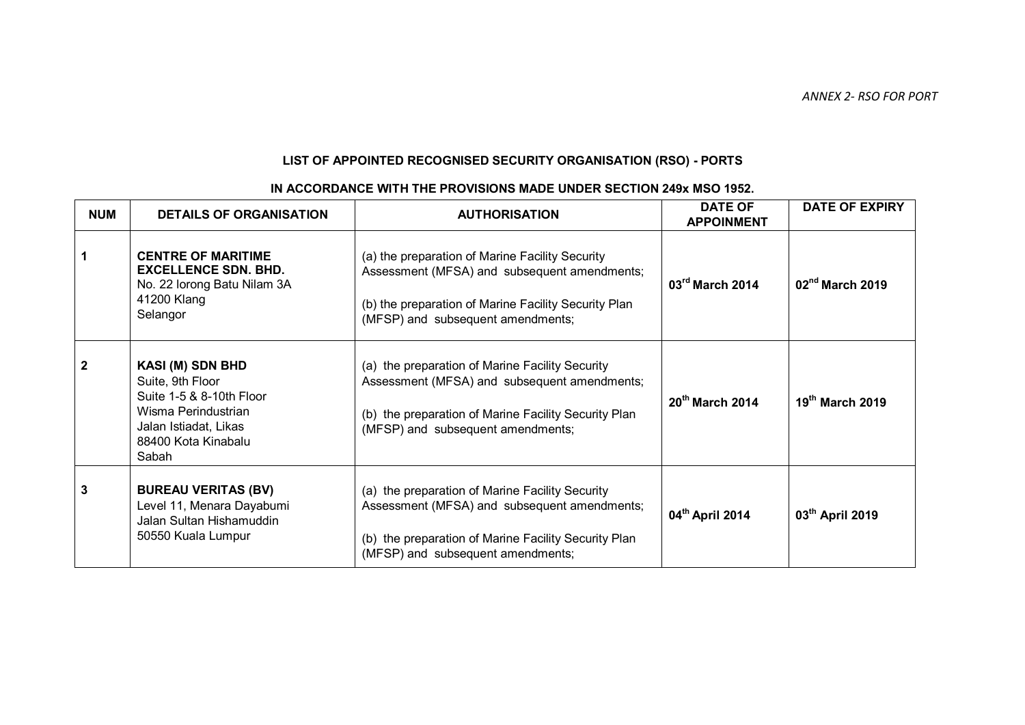# **LIST OF APPOINTED RECOGNISED SECURITY ORGANISATION (RSO) - PORTS**

| <b>NUM</b>     | <b>DETAILS OF ORGANISATION</b>                                                                                                                          | <b>AUTHORISATION</b>                                                                                                                                                                         | <b>DATE OF</b><br><b>APPOINMENT</b> | <b>DATE OF EXPIRY</b> |
|----------------|---------------------------------------------------------------------------------------------------------------------------------------------------------|----------------------------------------------------------------------------------------------------------------------------------------------------------------------------------------------|-------------------------------------|-----------------------|
| $\mathbf{1}$   | <b>CENTRE OF MARITIME</b><br><b>EXCELLENCE SDN. BHD.</b><br>No. 22 lorong Batu Nilam 3A<br>41200 Klang<br>Selangor                                      | (a) the preparation of Marine Facility Security<br>Assessment (MFSA) and subsequent amendments;<br>(b) the preparation of Marine Facility Security Plan<br>(MFSP) and subsequent amendments; | 03rd March 2014                     | $02nd$ March 2019     |
| $\overline{2}$ | <b>KASI (M) SDN BHD</b><br>Suite, 9th Floor<br>Suite 1-5 & 8-10th Floor<br>Wisma Perindustrian<br>Jalan Istiadat, Likas<br>88400 Kota Kinabalu<br>Sabah | (a) the preparation of Marine Facility Security<br>Assessment (MFSA) and subsequent amendments;<br>(b) the preparation of Marine Facility Security Plan<br>(MFSP) and subsequent amendments; | 20 <sup>th</sup> March 2014         | $19th$ March 2019     |
| $\mathbf{3}$   | <b>BUREAU VERITAS (BV)</b><br>Level 11, Menara Dayabumi<br>Jalan Sultan Hishamuddin<br>50550 Kuala Lumpur                                               | (a) the preparation of Marine Facility Security<br>Assessment (MFSA) and subsequent amendments;<br>(b) the preparation of Marine Facility Security Plan<br>(MFSP) and subsequent amendments; | 04th April 2014                     | 03th April 2019       |

### **IN ACCORDANCE WITH THE PROVISIONS MADE UNDER SECTION 249x MSO 1952.**